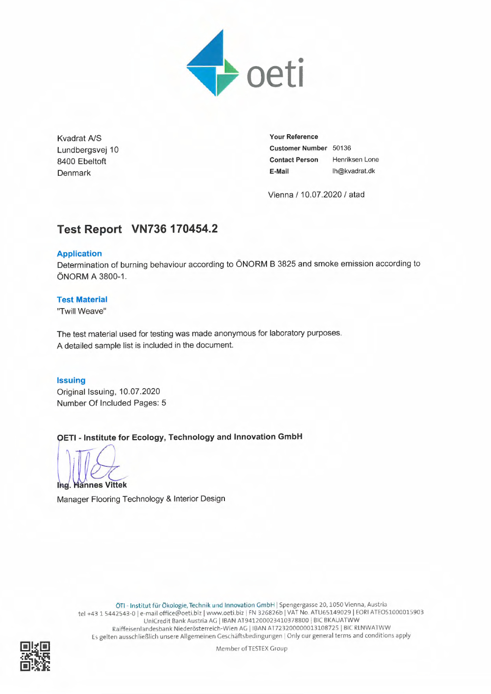

Kvadrat A/S **Your Reference** 

Lundbergsvej 10 **Customer Number** 50136 8400 Ebeltoft **Contact Person** Henriksen Lone Denmark **E-Mail** Ih@kvadrat.dk

Vienna / 10.07.2020 / atad

# **Test Report VN736 170454.2**

## **Application**

Determination of burning behaviour according to ÖNORM B 3825 and smoke emission according to ÖNORM A 3800-1.

## **Test Material**

"Twill Weave"

The test material used for testing was made anonymous for laboratory purposes. A detailed sample list is included in the document.

## **Issuing**

Original Issuing, 10.07.2020 Number Of Included Pages: 5

**OETI - Institute for Ecology, Technology and Innovation GmbH**

**annes Vittek**  lha

Manager Flooring Technology & Interior Design

ÖTI - Institut für Ökologie, Technik und Innovation GmbH I Spengergasse 20, 1050 Vienna, Austria tel +43 1 5442543-0 I e-mail office@oeti.biz I vvww.oeti.biz I FN 326826b I VAT No. ATU65149029 I EORI ATE051000015903 UniCredit Bank Austria AG I IBAN AT941200023410378800 I BIC BKAUATWW Raiffeisenlandesbank Niederösterreich-Wien AG I IBAN AT723200000013108725 I BIC RLNWAT WW Es gelten ausschließlich unsere Allgemeinen Geschäftsbedingungen | Only our general terms and conditions apply



Member of TESTEX Group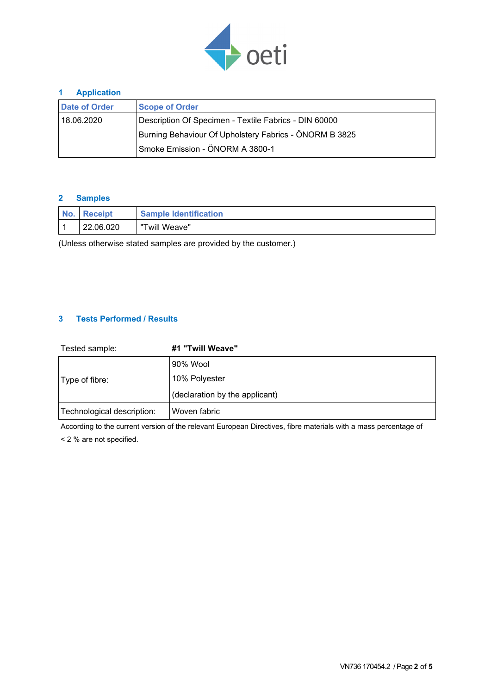

## **1 Application**

| Date of Order                                          | <b>Scope of Order</b>                                 |  |  |  |
|--------------------------------------------------------|-------------------------------------------------------|--|--|--|
| 18.06.2020                                             | Description Of Specimen - Textile Fabrics - DIN 60000 |  |  |  |
| Burning Behaviour Of Upholstery Fabrics - ÖNORM B 3825 |                                                       |  |  |  |
|                                                        | Smoke Emission - ÖNORM A 3800-1                       |  |  |  |

## **2 Samples**

| <b>Receipt</b> | <b>Sample Identification</b> |
|----------------|------------------------------|
| 22.06.020      | "Twill Weave"                |

(Unless otherwise stated samples are provided by the customer.)

## **3 Tests Performed / Results**

| Tested sample:             | #1 "Twill Weave"               |  |  |
|----------------------------|--------------------------------|--|--|
|                            | 90% Wool                       |  |  |
| Type of fibre:             | 10% Polyester                  |  |  |
|                            | (declaration by the applicant) |  |  |
| Technological description: | Woven fabric                   |  |  |

According to the current version of the relevant European Directives, fibre materials with a mass percentage of < 2 % are not specified.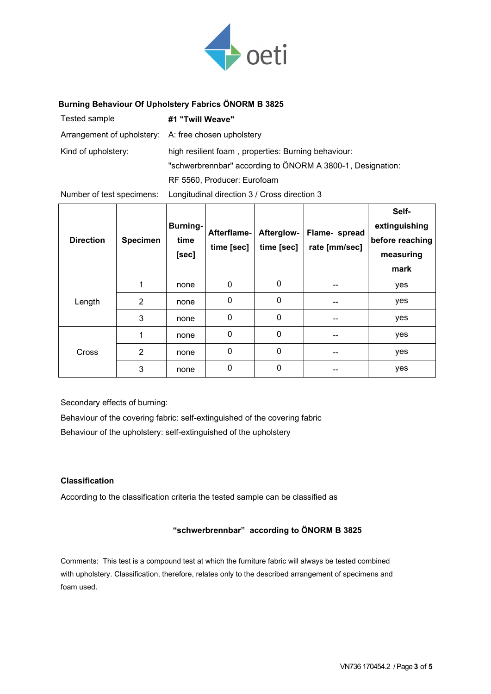

## **Burning Behaviour Of Upholstery Fabrics ÖNORM B 3825**

| Tested sample                                        | #1 "Twill Weave"                                           |
|------------------------------------------------------|------------------------------------------------------------|
| Arrangement of upholstery: A: free chosen upholstery |                                                            |
| Kind of upholstery:                                  | high resilient foam, properties: Burning behaviour:        |
|                                                      | "schwerbrennbar" according to ÖNORM A 3800-1, Designation: |
|                                                      | RF 5560, Producer: Eurofoam                                |
|                                                      |                                                            |

Number of test specimens: Longitudinal direction 3 / Cross direction 3

| <b>Direction</b> | <b>Specimen</b> | <b>Burning-</b><br>time<br>[sec] | Afterflame-<br>time [sec] | Afterglow-<br>time [sec] | Flame- spread<br>rate [mm/sec] | Self-<br>extinguishing<br>before reaching<br>measuring<br>mark |
|------------------|-----------------|----------------------------------|---------------------------|--------------------------|--------------------------------|----------------------------------------------------------------|
|                  |                 | none                             | 0                         | 0                        |                                | yes                                                            |
| Length           | $\overline{2}$  | none                             | 0                         | 0                        |                                | yes                                                            |
|                  | 3               | none                             | 0                         | 0                        | --                             | yes                                                            |
| Cross            |                 | none                             | 0                         | 0                        |                                | yes                                                            |
|                  | 2               | none                             | 0                         | 0                        | --                             | yes                                                            |
|                  | 3               | none                             | 0                         | 0                        | --                             | yes                                                            |

Secondary effects of burning:

Behaviour of the covering fabric: self-extinguished of the covering fabric Behaviour of the upholstery: self-extinguished of the upholstery

## **Classification**

According to the classification criteria the tested sample can be classified as

## **"schwerbrennbar" according to ÖNORM B 3825**

Comments: This test is a compound test at which the furniture fabric will always be tested combined with upholstery. Classification, therefore, relates only to the described arrangement of specimens and foam used.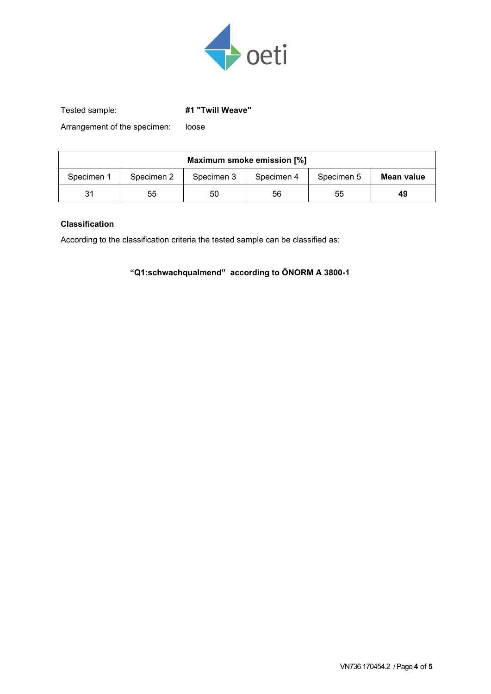

Tested sample: **#1 "Twill Weave"**

Arrangement of the specimen: loose

| Maximum smoke emission [%] |            |            |            |            |            |  |  |  |
|----------------------------|------------|------------|------------|------------|------------|--|--|--|
| Specimen 1                 | Specimen 2 | Specimen 3 | Specimen 4 | Specimen 5 | Mean value |  |  |  |
| 31                         | 55         | 50         | 56         | 55         | 49         |  |  |  |

## **Classification**

According to the classification criteria the tested sample can be classified as:

**"Q1:schwachqualmend" according to ÖNORM A 3800-1**